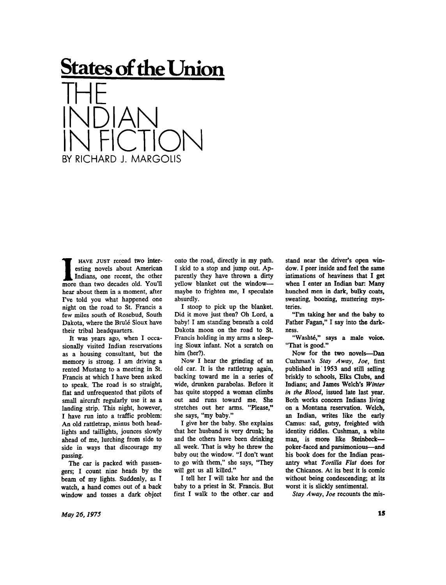## **States of the Union**



**I HAVE JUST** reread two interesting novels about American Indians, one recent, the other more than two decades old. You'll hear about them in a moment, after I've told you what happened one night on the road to St. Francis a few miles south of Rosebud, South Dakota, where the Brule Sioux have their tribal headquarters.

It was years ago, when I occasionally visited Indian reservations as a housing consultant, but the memory is strong. I am driving a rented Mustang to a meeting in St. Francis at which I have been asked to speak. The road is so straight, flat and unfrequented that pilots of small aircraft regularly use it as a landing strip. This night, however, I have run into a traffic problem: An old rattletrap, minus both headlights and taillights, jounces slowly ahead of me, lurching from side to side in ways that discourage my passing.

The car is packed with passengers; I count nine heads by the beam of my lights. Suddenly, as I watch, a hand comes out of a back window and tosses a dark object

onto the road, directly in my path. I skid to a stop and jump out. Apparently they have thrown a dirty yellow blanket out the window maybe to frighten me, I speculate absurdly.

I stoop to pick up the blanket. Did it move just then? Oh Lord, a baby! I am standing beneath a cold Dakota moon on the road to St. Francis holding in my arms a sleeping Sioux infant. Not a scratch on him (her?).

Now I hear the grinding of an old car. It is the rattletrap again, backing toward me in a series of wide, drunken parabolas. Before it has quite stopped a woman climbs out and runs toward me. She stretches out her arms. "Please," she says, "my baby."

I give her the baby. She explains that her husband is very drunk; he and the others have been drinking all week. That is why he threw the baby out the window. "I don't want to go with them," she says, "They will get us all killed."

I tell her I will take her and the baby to a priest in St. Francis. But first I walk to the other, car and stand near the driver's open window. I peer inside and feel the same intimations of heaviness that I get when I enter an Indian bar: Many hunched men in dark, bulky coats, sweating, boozing, muttering mysteries.

"I'm taking her and the baby to Father Fagan," I say into the darkness.

"Washté," says a male voice. "That is good."

Now for the two novels—Dan Cushman's *Stay Away, Joe,* first published in 1953 and still selling briskly to schools, Elks Clubs, and Indians; and James Welch's *Winter in the Blood,* issued late last year. Both works concern Indians living on a Montana reservation. Welch, an Indian, writes like the early Camus: sad, gutsy, freighted with identity riddles. Cushman, a white man, is more like Steinbeck poker-faced and parsimonious—and his book does for the Indian peasantry what *Tortilla Flat* does for the Chicanos. At its best it is comic without being condescending; at its worst it is slickly sentimental.

*Stay Away, Joe* recounts the mis-